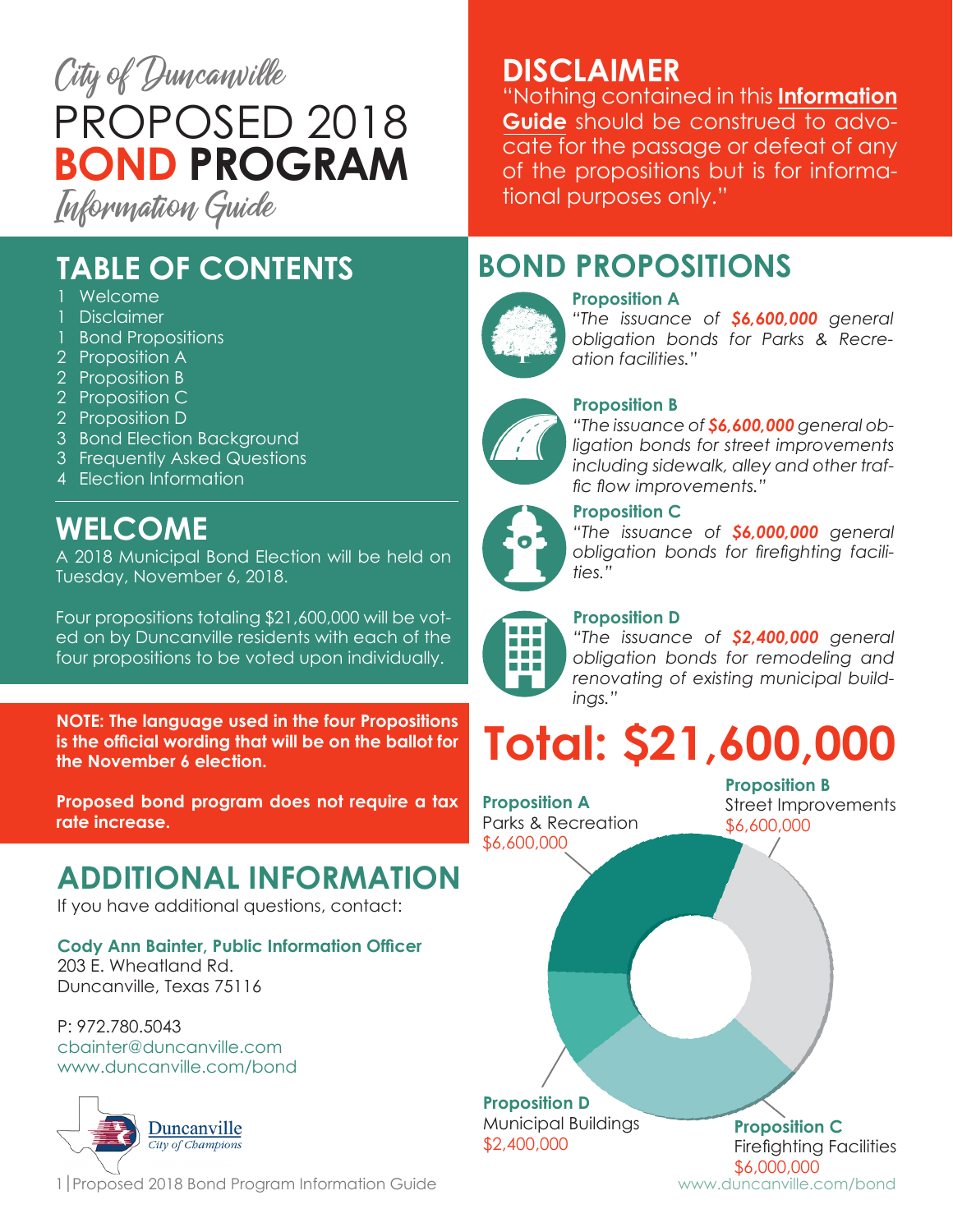

**TABLE OF CONTENTS**

- Welcome
- 1 **Disclaimer**
- 1 Bond Propositions
- 2 Proposition A
- 2 Proposition B
- 2 Proposition C
- 2 Proposition D
- 3 Bond Election Background
- 3 Frequently Asked Questions
- 4 Election Information

## **WELCOME**

A 2018 Municipal Bond Election will be held on Tuesday, November 6, 2018.

Four propositions totaling \$21,600,000 will be voted on by Duncanville residents with each of the four propositions to be voted upon individually.

**NOTE: The language used in the four Propositions is the official wording that will be on the ballot for the November 6 election.**

**Proposed bond program does not require a tax rate increase.**

## **ADDITIONAL INFORMATION**

If you have additional questions, contact:

**Cody Ann Bainter, Public Information Officer** 203 E. Wheatland Rd. Duncanville, Texas 75116

P: 972.780.5043 cbainter@duncanville.com www.duncanville.com/bond



1 Proposed 2018 Bond Program Information Guide Way www.duncanville.com/bond

### **DISCLAIMER**

"Nothing contained in this **Information Guide** should be construed to advocate for the passage or defeat of any of the propositions but is for informational purposes only."

## **BOND PROPOSITIONS**



#### **Proposition A**

*"The issuance of \$6,600,000 general obligation bonds for Parks & Recreation facilities."*



#### **Proposition B**

*"The issuance of \$6,600,000 general obligation bonds for street improvements including sidewalk, alley and other traffic flow improvements."*



## **Proposition C**

*"The issuance of \$6,000,000 general obligation bonds for firefighting facilities."* 

#### **Proposition D**

*"The issuance of \$2,400,000 general obligation bonds for remodeling and renovating of existing municipal buildings."*

# **Total: \$21,600,000**

**Proposition A** Parks & Recreation \$6,600,000

**Proposition B** Street Improvements \$6,600,000

**Proposition D** Municipal Buildings \$2,400,000

**Proposition C** Firefighting Facilities \$6,000,000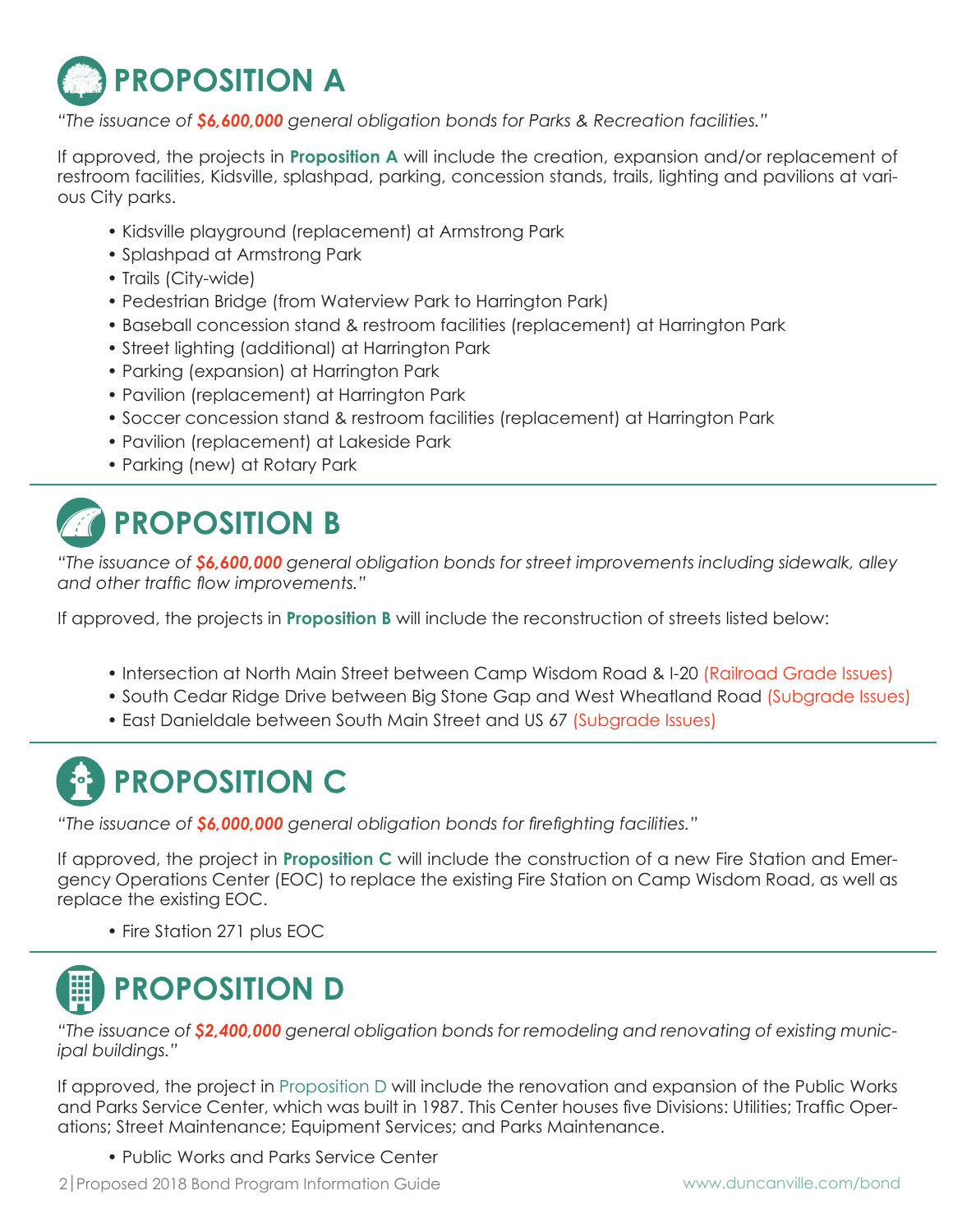

*"The issuance of \$6,600,000 general obligation bonds for Parks & Recreation facilities."*

If approved, the projects in **Proposition A** will include the creation, expansion and/or replacement of restroom facilities, Kidsville, splashpad, parking, concession stands, trails, lighting and pavilions at various City parks.

- Kidsville playground (replacement) at Armstrong Park
- Splashpad at Armstrong Park
- Trails (City-wide)
- Pedestrian Bridge (from Waterview Park to Harrington Park)
- Baseball concession stand & restroom facilities (replacement) at Harrington Park
- Street lighting (additional) at Harrington Park
- Parking (expansion) at Harrington Park
- Pavilion (replacement) at Harrington Park
- Soccer concession stand & restroom facilities (replacement) at Harrington Park
- Pavilion (replacement) at Lakeside Park
- Parking (new) at Rotary Park

## **PROPOSITION B**

*"The issuance of \$6,600,000 general obligation bonds for street improvements including sidewalk, alley and other traffic flow improvements."*

If approved, the projects in **Proposition B** will include the reconstruction of streets listed below:

- Intersection at North Main Street between Camp Wisdom Road & I-20 (Railroad Grade Issues)
- South Cedar Ridge Drive between Big Stone Gap and West Wheatland Road (Subgrade Issues)
- East Danieldale between South Main Street and US 67 (Subgrade Issues)

# **PROPOSITION C**

*"The issuance of \$6,000,000 general obligation bonds for firefighting facilities."*

If approved, the project in **Proposition C** will include the construction of a new Fire Station and Emergency Operations Center (EOC) to replace the existing Fire Station on Camp Wisdom Road, as well as replace the existing EOC.

• Fire Station 271 plus EOC



*"The issuance of \$2,400,000 general obligation bonds for remodeling and renovating of existing municipal buildings."*

If approved, the project in Proposition D will include the renovation and expansion of the Public Works and Parks Service Center, which was built in 1987. This Center houses five Divisions: Utilities; Traffic Operations; Street Maintenance; Equipment Services; and Parks Maintenance.

• Public Works and Parks Service Center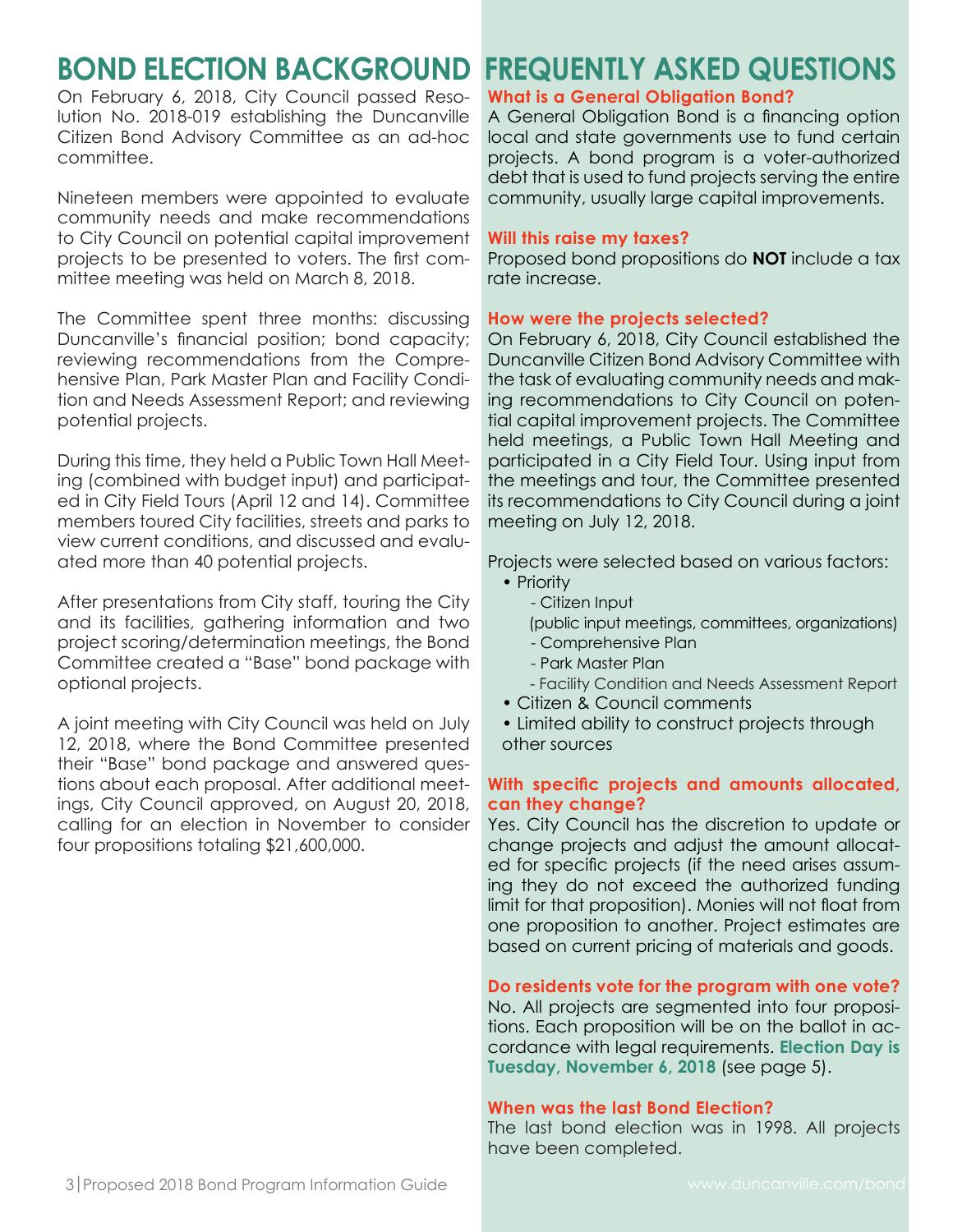## **BOND ELECTION BACKGROUND**

On February 6, 2018, City Council passed Resolution No. 2018-019 establishing the Duncanville Citizen Bond Advisory Committee as an ad-hoc committee.

Nineteen members were appointed to evaluate community needs and make recommendations to City Council on potential capital improvement projects to be presented to voters. The first committee meeting was held on March 8, 2018.

The Committee spent three months: discussing Duncanville's financial position; bond capacity; reviewing recommendations from the Comprehensive Plan, Park Master Plan and Facility Condition and Needs Assessment Report; and reviewing potential projects.

During this time, they held a Public Town Hall Meeting (combined with budget input) and participated in City Field Tours (April 12 and 14). Committee members toured City facilities, streets and parks to view current conditions, and discussed and evaluated more than 40 potential projects.

After presentations from City staff, touring the City and its facilities, gathering information and two project scoring/determination meetings, the Bond Committee created a "Base" bond package with optional projects.

A joint meeting with City Council was held on July 12, 2018, where the Bond Committee presented their "Base" bond package and answered questions about each proposal. After additional meetings, City Council approved, on August 20, 2018, calling for an election in November to consider four propositions totaling \$21,600,000.

#### **FREQUENTLY ASKED QUESTIONS What is a General Obligation Bond?**

A General Obligation Bond is a financing option local and state governments use to fund certain projects. A bond program is a voter-authorized debt that is used to fund projects serving the entire community, usually large capital improvements.

#### **Will this raise my taxes?**

Proposed bond propositions do **NOT** include a tax rate increase.

#### **How were the projects selected?**

On February 6, 2018, City Council established the Duncanville Citizen Bond Advisory Committee with the task of evaluating community needs and making recommendations to City Council on potential capital improvement projects. The Committee held meetings, a Public Town Hall Meeting and participated in a City Field Tour. Using input from the meetings and tour, the Committee presented its recommendations to City Council during a joint meeting on July 12, 2018.

Projects were selected based on various factors:

- Priority
	- Citizen Input
	- (public input meetings, committees, organizations)
	- Comprehensive Plan
	- Park Master Plan
	- Facility Condition and Needs Assessment Report
- Citizen & Council comments

 • Limited ability to construct projects through other sources

#### **With specific projects and amounts allocated, can they change?**

Yes. City Council has the discretion to update or change projects and adjust the amount allocated for specific projects (if the need arises assuming they do not exceed the authorized funding limit for that proposition). Monies will not float from one proposition to another. Project estimates are based on current pricing of materials and goods.

**Do residents vote for the program with one vote?** No. All projects are segmented into four propositions. Each proposition will be on the ballot in accordance with legal requirements. **Election Day is Tuesday, November 6, 2018** (see page 5).

#### **When was the last Bond Election?**

The last bond election was in 1998. All projects have been completed.